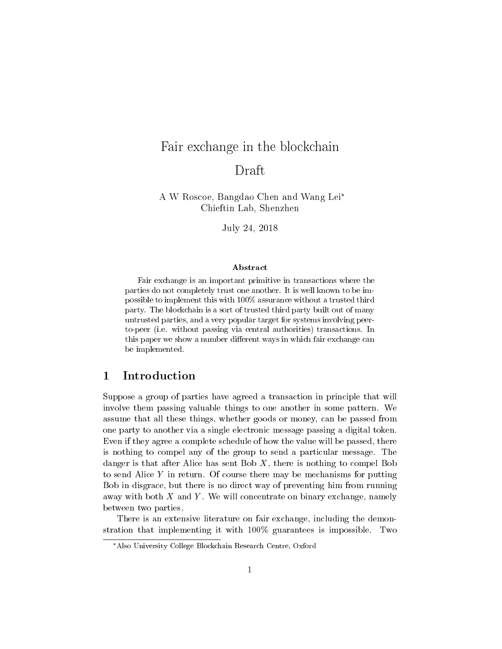# Fair exchange in the blockchain Draft

A W Roscoe, Bangdao Chen and Wang Lei Chieftin Lab, Shenzhen

July 24, 2018

#### Abstract

Fair exchange is an important primitive in transactions where the parties do not completely trust one another. It is well known to be impossible to implement this with 100% assurance without a trusted third party. The blockchain is a sort of trusted third party built out of many untrusted parties, and a very popular target for systems involving peerto-peer (i.e. without passing via central authorities) transactions. In this paper we show a number different ways in which fair exchange can be implemented.

## 1 Introduction

Suppose a group of parties have agreed a transaction in principle that will involve them passing valuable things to one another in some pattern. We assume that all these things, whether goods or money, can be passed from one party to another via a single electronic message passing a digital token. Even if they agree a complete schedule of how the value will be passed, there is nothing to compel any of the group to send a particular message. The danger is that after Alice has sent Bob  $X$ , there is nothing to compel Bob to send Alice  $Y$  in return. Of course there may be mechanisms for putting Bob in disgrace, but there is no direct way of preventing him from running away with both  $X$  and  $Y$ . We will concentrate on binary exchange, namely between two parties.

There is an extensive literature on fair exchange, including the demonstration that implementing it with 100% guarantees is impossible. Two

Also University College Blockchain Research Centre, Oxford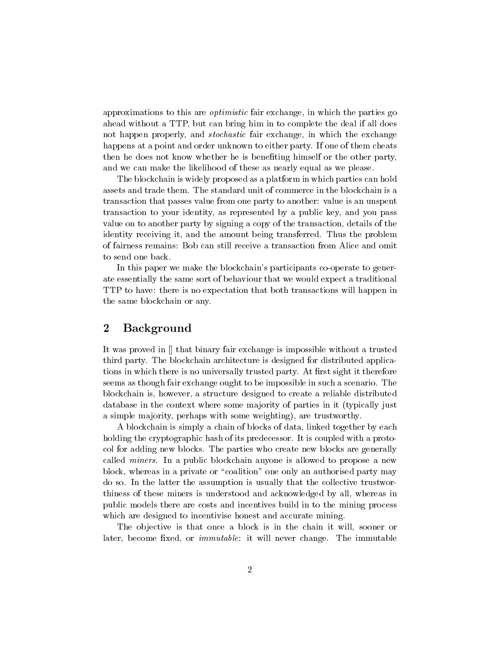approximations to this are optimistic fair exchange, in which the parties go ahead without a TTP, but can bring him in to complete the deal if all does not happen properly, and stochastic fair exchange, in which the exchange happens at a point and order unknown to either party. If one of them cheats then he does not know whether he is benefiting himself or the other party, and we can make the likelihood of these as nearly equal as we please.

The blockchain is widely proposed as a platform in which parties can hold assets and trade them. The standard unit of commerce in the blockchain is a transaction that passes value from one party to another: value is an unspent transaction to your identity, as represented by a public key, and you pass value on to another party by signing a copy of the transaction, details of the identity receiving it, and the amount being transferred. Thus the problem of fairness remains: Bob can still receive a transaction from Alice and omit to send one back.

In this paper we make the blockchain's participants co-operate to generate essentially the same sort of behaviour that we would expect a traditional TTP to have: there is no expectation that both transactions will happen in the same blockchain or any.

## 2 Background

It was proved in [] that binary fair exchange is impossible without a trusted third party. The blockchain architecture is designed for distributed applications in which there is no universally trusted party. At first sight it therefore seems as though fair exchange ought to be impossible in such a scenario. The blockchain is, however, a structure designed to create a reliable distributed database in the context where some majority of parties in it (typically just a simple majority, perhaps with some weighting), are trustworthy.

A blockchain is simply a chain of blocks of data, linked together by each holding the cryptographic hash of its predecessor. It is coupled with a protocol for adding new blocks. The parties who create new blocks are generally called miners. In a public blockchain anyone is allowed to propose a new block, whereas in a private or \coalition" one only an authorised party may do so. In the latter the assumption is usually that the collective trustworthiness of these miners is understood and acknowledged by all, whereas in public models there are costs and incentives build in to the mining process which are designed to incentivise honest and accurate mining.

The objective is that once a block is in the chain it will, sooner or later, become fixed, or *immutable*: it will never change. The immutable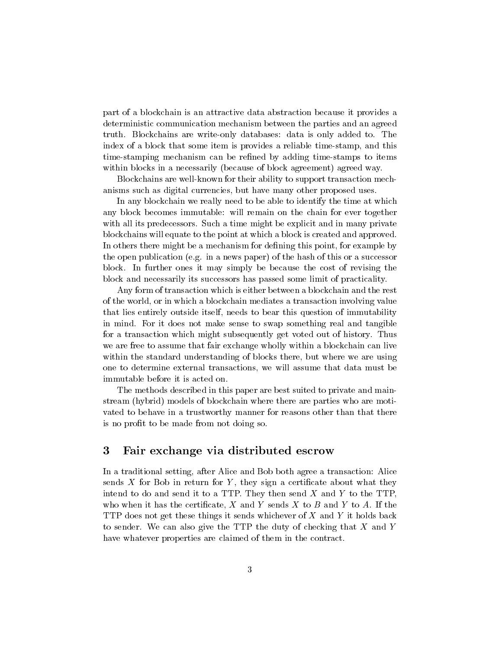part of a blockchain is an attractive data abstraction because it provides a deterministic communication mechanism between the parties and an agreed truth. Blockchains are write-only databases: data is only added to. The index of a block that some item is provides a reliable time-stamp, and this time-stamping mechanism can be refined by adding time-stamps to items within blocks in a necessarily (because of block agreement) agreed way.

Blockchains are well-known for their ability to support transaction mechanisms such as digital currencies, but have many other proposed uses.

In any blockchain we really need to be able to identify the time at which any block becomes immutable: will remain on the chain for ever together with all its predecessors. Such a time might be explicit and in many private blockchains will equate to the point at which a block is created and approved. In others there might be a mechanism for defining this point, for example by the open publication (e.g. in a news paper) of the hash of this or a successor block. In further ones it may simply be because the cost of revising the block and necessarily its successors has passed some limit of practicality.

Any form of transaction which is either between a blockchain and the rest of the world, or in which a blockchain mediates a transaction involving value that lies entirely outside itself, needs to bear this question of immutability in mind. For it does not make sense to swap something real and tangible for a transaction which might subsequently get voted out of history. Thus we are free to assume that fair exchange wholly within a blockchain can live within the standard understanding of blocks there, but where we are using one to determine external transactions, we will assume that data must be immutable before it is acted on.

The methods described in this paper are best suited to private and mainstream (hybrid) models of blockchain where there are parties who are motivated to behave in a trustworthy manner for reasons other than that there is no prot to be made from not doing so.

### 3 Fair exchange via distributed escrow

In a traditional setting, after Alice and Bob both agree a transaction: Alice sends  $X$  for Bob in return for  $Y$ , they sign a certificate about what they intend to do and send it to a TTP. They then send  $X$  and  $Y$  to the TTP. who when it has the certificate,  $X$  and  $Y$  sends  $X$  to  $B$  and  $Y$  to  $A$ . If the TTP does not get these things it sends whichever of X and Y it holds back to sender. We can also give the TTP the duty of checking that  $X$  and  $Y$ have whatever properties are claimed of them in the contract.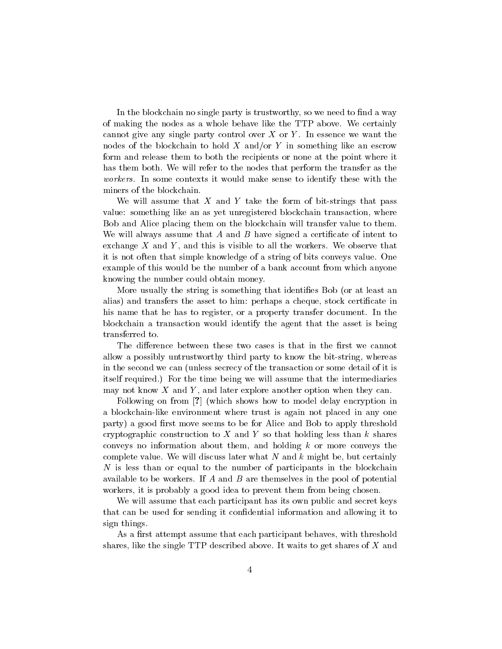In the blockchain no single party is trustworthy, so we need to find a way of making the nodes as a whole behave like the TTP above. We certainly cannot give any single party control over  $X$  or  $Y$ . In essence we want the nodes of the blockchain to hold  $X$  and/or  $Y$  in something like an escrow form and release them to both the recipients or none at the point where it has them both. We will refer to the nodes that perform the transfer as the workers. In some contexts it would make sense to identify these with the miners of the blockchain.

We will assume that  $X$  and  $Y$  take the form of bit-strings that pass value: something like an as yet unregistered blockchain transaction, where Bob and Alice placing them on the blockchain will transfer value to them. We will always assume that  $A$  and  $B$  have signed a certificate of intent to exchange  $X$  and  $Y$ , and this is visible to all the workers. We observe that it is not often that simple knowledge of a string of bits conveys value. One example of this would be the number of a bank account from which anyone knowing the number could obtain money.

More usually the string is something that identies Bob (or at least an alias) and transfers the asset to him: perhaps a cheque, stock certificate in his name that he has to register, or a property transfer document. In the blockchain a transaction would identify the agent that the asset is being transferred to.

The difference between these two cases is that in the first we cannot allow a possibly untrustworthy third party to know the bit-string, whereas in the second we can (unless secrecy of the transaction or some detail of it is itself required.) For the time being we will assume that the intermediaries may not know  $X$  and  $Y$ , and later explore another option when they can.

Following on from [?] (which shows how to model delay encryption in a blockchain-like environment where trust is again not placed in any one party) a good first move seems to be for Alice and Bob to apply threshold cryptographic construction to X and Y so that holding less than  $k$  shares conveys no information about them, and holding  $k$  or more conveys the complete value. We will discuss later what  $N$  and  $k$  might be, but certainly  $N$  is less than or equal to the number of participants in the blockchain available to be workers. If  $A$  and  $B$  are themselves in the pool of potential workers, it is probably a good idea to prevent them from being chosen.

We will assume that each participant has its own public and secret keys that can be used for sending it condential information and allowing it to sign things.

As a first attempt assume that each participant behaves, with threshold shares, like the single TTP described above. It waits to get shares of  $X$  and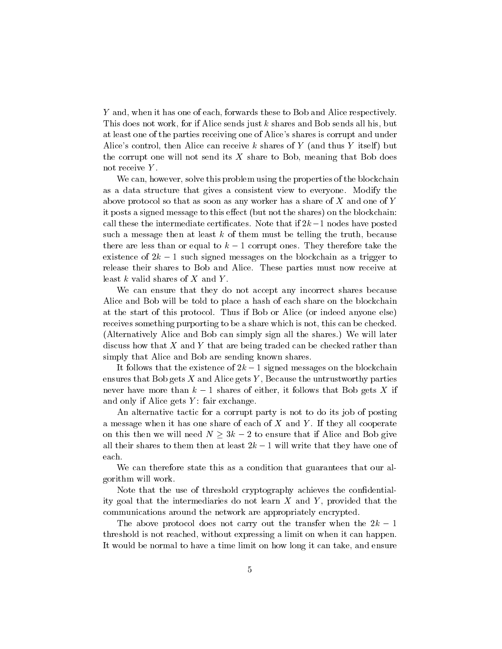Y and, when it has one of each, forwards these to Bob and Alice respectively. This does not work, for if Alice sends just k shares and Bob sends all his, but at least one of the parties receiving one of Alice's shares is corrupt and under Alice's control, then Alice can receive k shares of Y (and thus Y itself) but the corrupt one will not send its  $X$  share to Bob, meaning that Bob does not receive Y.

We can, however, solve this problem using the properties of the blockchain as a data structure that gives a consistent view to everyone. Modify the above protocol so that as soon as any worker has a share of X and one of Y it posts a signed message to this effect (but not the shares) on the blockchain: call these the intermediate certificates. Note that if  $2k-1$  nodes have posted such a message then at least  $k$  of them must be telling the truth, because there are less than or equal to  $k-1$  corrupt ones. They therefore take the existence of  $2k - 1$  such signed messages on the blockchain as a trigger to release their shares to Bob and Alice. These parties must now receive at least  $k$  valid shares of  $X$  and  $Y$ .

We can ensure that they do not accept any incorrect shares because Alice and Bob will be told to place a hash of each share on the blockchain at the start of this protocol. Thus if Bob or Alice (or indeed anyone else) receives something purporting to be a share which is not, this can be checked. (Alternatively Alice and Bob can simply sign all the shares.) We will later discuss how that  $X$  and  $Y$  that are being traded can be checked rather than simply that Alice and Bob are sending known shares.

It follows that the existence of  $2k - 1$  signed messages on the blockchain ensures that Bob gets  $X$  and Alice gets  $Y$ , Because the untrustworthy parties never have more than  $k-1$  shares of either, it follows that Bob gets X if and only if Alice gets  $Y$ : fair exchange.

An alternative tactic for a corrupt party is not to do its job of posting a message when it has one share of each of  $X$  and  $Y$ . If they all cooperate on this then we will need  $N \geq 3k - 2$  to ensure that if Alice and Bob give all their shares to them then at least  $2k - 1$  will write that they have one of each.

We can therefore state this as a condition that guarantees that our algorithm will work.

Note that the use of threshold cryptography achieves the condentiality goal that the intermediaries do not learn  $X$  and  $Y$ , provided that the communications around the network are appropriately encrypted.

The above protocol does not carry out the transfer when the  $2k-1$ threshold is not reached, without expressing a limit on when it can happen. It would be normal to have a time limit on how long it can take, and ensure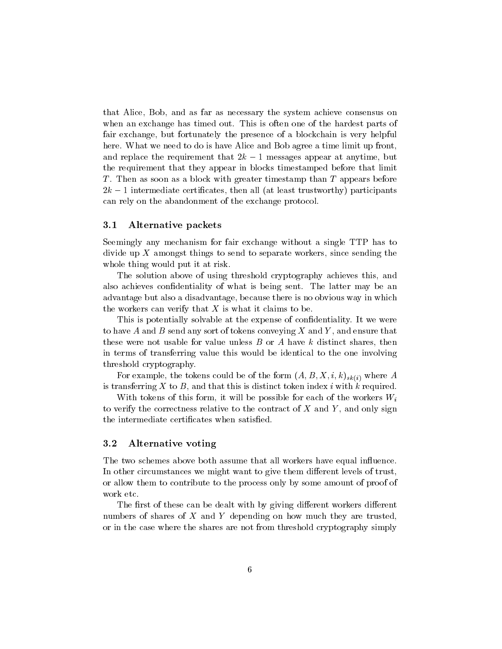that Alice, Bob, and as far as necessary the system achieve consensus on when an exchange has timed out. This is often one of the hardest parts of fair exchange, but fortunately the presence of a blockchain is very helpful here. What we need to do is have Alice and Bob agree a time limit up front, and replace the requirement that  $2k - 1$  messages appear at anytime, but the requirement that they appear in blocks timestamped before that limit T. Then as soon as a block with greater timestamp than T appears before  $2k-1$  intermediate certificates, then all (at least trustworthy) participants can rely on the abandonment of the exchange protocol.

#### 3.1 Alternative packets

Seemingly any mechanism for fair exchange without a single TTP has to divide up  $X$  amongst things to send to separate workers, since sending the whole thing would put it at risk.

The solution above of using threshold cryptography achieves this, and also achieves condentiality of what is being sent. The latter may be an advantage but also a disadvantage, because there is no obvious way in which the workers can verify that X is what it claims to be.

This is potentially solvable at the expense of confidentiality. It we were to have A and B send any sort of tokens conveying X and Y, and ensure that these were not usable for value unless  $B$  or  $A$  have  $k$  distinct shares, then in terms of transferring value this would be identical to the one involving threshold cryptography.

For example, the tokens could be of the form  $(A, B, X, i, k)_{sk(i)}$  where A is transferring X to B, and that this is distinct token index i with k required.

With tokens of this form, it will be possible for each of the workers  $W_i$ to verify the correctness relative to the contract of  $X$  and  $Y$ , and only sign the intermediate certificates when satisfied.

#### 3.2 Alternative voting

The two schemes above both assume that all workers have equal influence. In other circumstances we might want to give them different levels of trust, or allow them to contribute to the process only by some amount of proof of work etc.

The first of these can be dealt with by giving different workers different numbers of shares of  $X$  and  $Y$  depending on how much they are trusted, or in the case where the shares are not from threshold cryptography simply